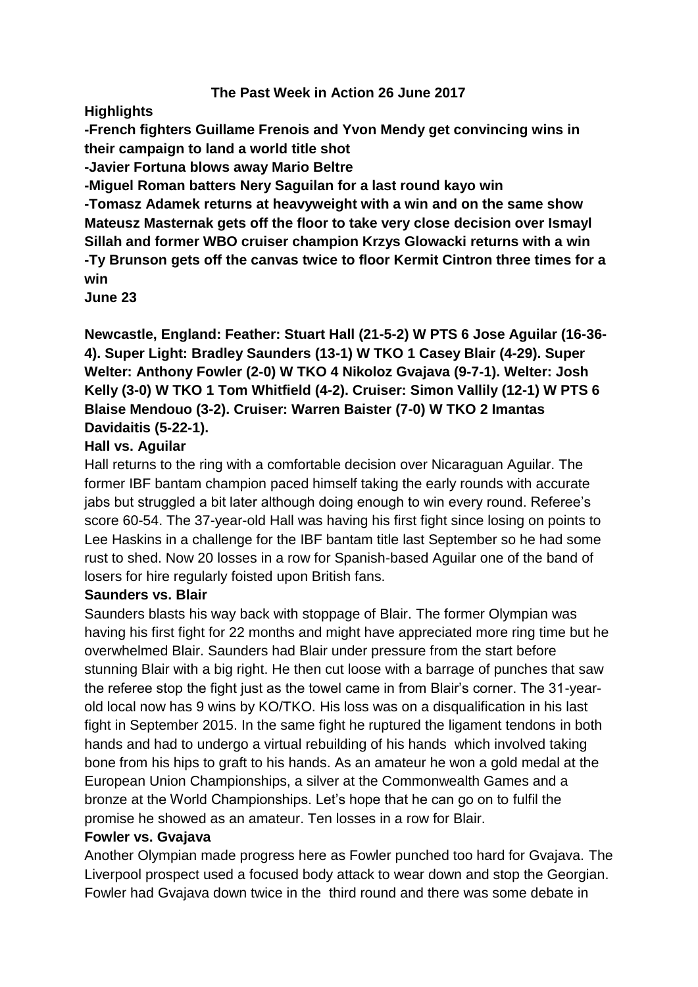## **The Past Week in Action 26 June 2017**

**Highlights**

**-French fighters Guillame Frenois and Yvon Mendy get convincing wins in their campaign to land a world title shot**

**-Javier Fortuna blows away Mario Beltre**

**-Miguel Roman batters Nery Saguilan for a last round kayo win**

**-Tomasz Adamek returns at heavyweight with a win and on the same show Mateusz Masternak gets off the floor to take very close decision over Ismayl Sillah and former WBO cruiser champion Krzys Glowacki returns with a win -Ty Brunson gets off the canvas twice to floor Kermit Cintron three times for a win**

**June 23**

**Newcastle, England: Feather: Stuart Hall (21-5-2) W PTS 6 Jose Aguilar (16-36- 4). Super Light: Bradley Saunders (13-1) W TKO 1 Casey Blair (4-29). Super Welter: Anthony Fowler (2-0) W TKO 4 Nikoloz Gvajava (9-7-1). Welter: Josh Kelly (3-0) W TKO 1 Tom Whitfield (4-2). Cruiser: Simon Vallily (12-1) W PTS 6 Blaise Mendouo (3-2). Cruiser: Warren Baister (7-0) W TKO 2 Imantas Davidaitis (5-22-1).**

# **Hall vs. Aguilar**

Hall returns to the ring with a comfortable decision over Nicaraguan Aguilar. The former IBF bantam champion paced himself taking the early rounds with accurate jabs but struggled a bit later although doing enough to win every round. Referee's score 60-54. The 37-year-old Hall was having his first fight since losing on points to Lee Haskins in a challenge for the IBF bantam title last September so he had some rust to shed. Now 20 losses in a row for Spanish-based Aguilar one of the band of losers for hire regularly foisted upon British fans.

# **Saunders vs. Blair**

Saunders blasts his way back with stoppage of Blair. The former Olympian was having his first fight for 22 months and might have appreciated more ring time but he overwhelmed Blair. Saunders had Blair under pressure from the start before stunning Blair with a big right. He then cut loose with a barrage of punches that saw the referee stop the fight just as the towel came in from Blair's corner. The 31-yearold local now has 9 wins by KO/TKO. His loss was on a disqualification in his last fight in September 2015. In the same fight he ruptured the ligament tendons in both hands and had to undergo a virtual rebuilding of his hands which involved taking bone from his hips to graft to his hands. As an amateur he won a gold medal at the European Union Championships, a silver at the Commonwealth Games and a bronze at the World Championships. Let's hope that he can go on to fulfil the promise he showed as an amateur. Ten losses in a row for Blair.

# **Fowler vs. Gvajava**

Another Olympian made progress here as Fowler punched too hard for Gvajava. The Liverpool prospect used a focused body attack to wear down and stop the Georgian. Fowler had Gvajava down twice in the third round and there was some debate in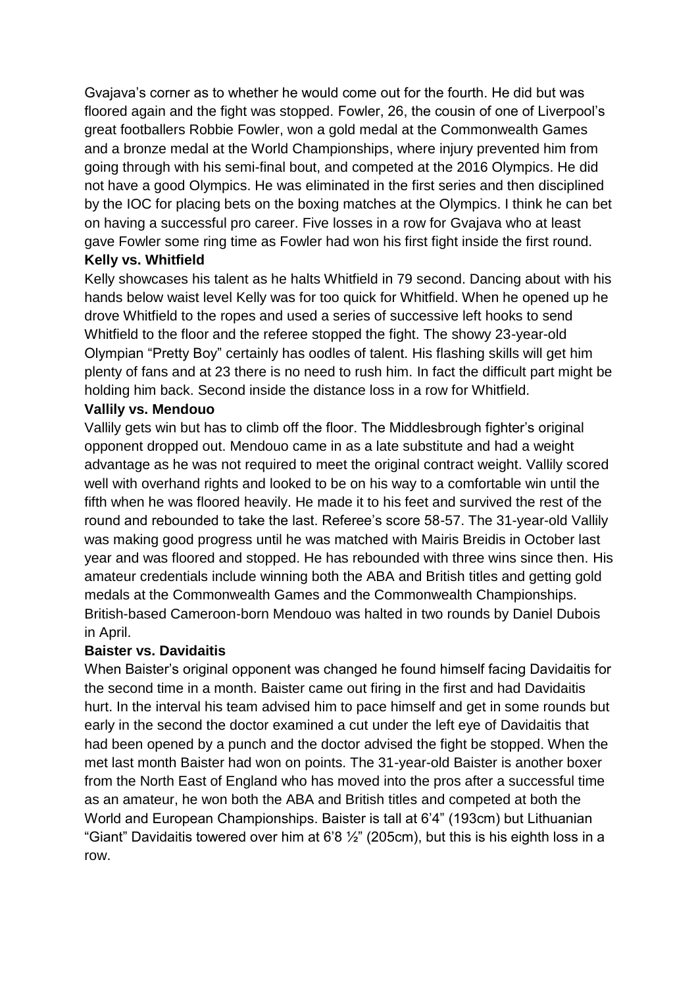Gvajava's corner as to whether he would come out for the fourth. He did but was floored again and the fight was stopped. Fowler, 26, the cousin of one of Liverpool's great footballers Robbie Fowler, won a gold medal at the Commonwealth Games and a bronze medal at the World Championships, where injury prevented him from going through with his semi-final bout, and competed at the 2016 Olympics. He did not have a good Olympics. He was eliminated in the first series and then disciplined by the IOC for placing bets on the boxing matches at the Olympics. I think he can bet on having a successful pro career. Five losses in a row for Gvajava who at least gave Fowler some ring time as Fowler had won his first fight inside the first round.

# **Kelly vs. Whitfield**

Kelly showcases his talent as he halts Whitfield in 79 second. Dancing about with his hands below waist level Kelly was for too quick for Whitfield. When he opened up he drove Whitfield to the ropes and used a series of successive left hooks to send Whitfield to the floor and the referee stopped the fight. The showy 23-year-old Olympian "Pretty Boy" certainly has oodles of talent. His flashing skills will get him plenty of fans and at 23 there is no need to rush him. In fact the difficult part might be holding him back. Second inside the distance loss in a row for Whitfield.

# **Vallily vs. Mendouo**

Vallily gets win but has to climb off the floor. The Middlesbrough fighter's original opponent dropped out. Mendouo came in as a late substitute and had a weight advantage as he was not required to meet the original contract weight. Vallily scored well with overhand rights and looked to be on his way to a comfortable win until the fifth when he was floored heavily. He made it to his feet and survived the rest of the round and rebounded to take the last. Referee's score 58-57. The 31-year-old Vallily was making good progress until he was matched with Mairis Breidis in October last year and was floored and stopped. He has rebounded with three wins since then. His amateur credentials include winning both the ABA and British titles and getting gold medals at the Commonwealth Games and the Commonwealth Championships. British-based Cameroon-born Mendouo was halted in two rounds by Daniel Dubois in April.

## **Baister vs. Davidaitis**

When Baister's original opponent was changed he found himself facing Davidaitis for the second time in a month. Baister came out firing in the first and had Davidaitis hurt. In the interval his team advised him to pace himself and get in some rounds but early in the second the doctor examined a cut under the left eye of Davidaitis that had been opened by a punch and the doctor advised the fight be stopped. When the met last month Baister had won on points. The 31-year-old Baister is another boxer from the North East of England who has moved into the pros after a successful time as an amateur, he won both the ABA and British titles and competed at both the World and European Championships. Baister is tall at 6'4" (193cm) but Lithuanian "Giant" Davidaitis towered over him at 6'8  $\frac{1}{2}$ " (205cm), but this is his eighth loss in a row.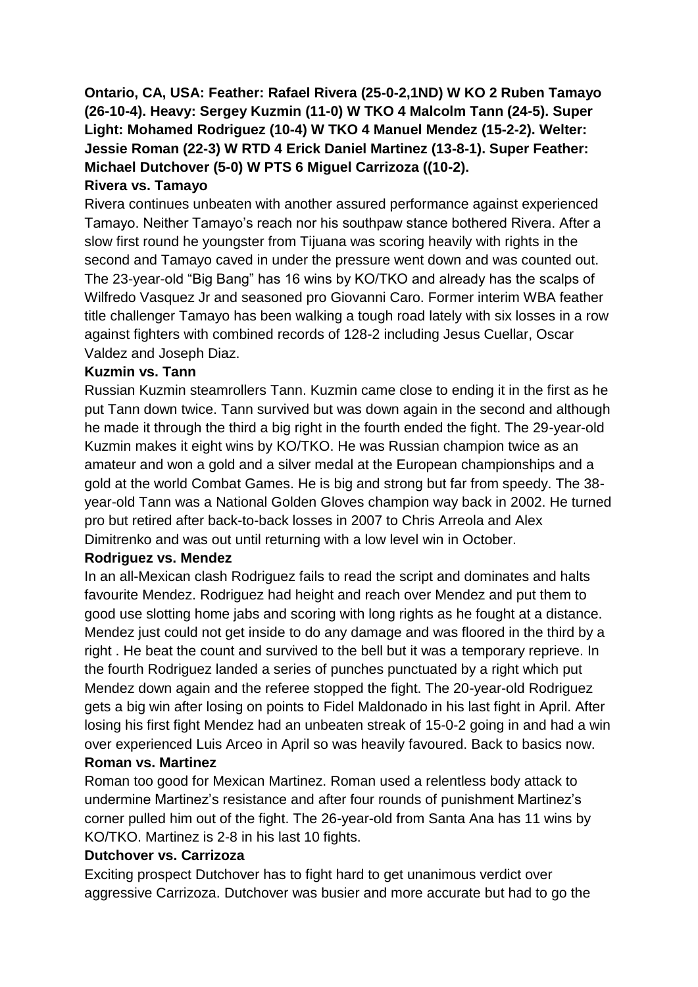**Ontario, CA, USA: Feather: Rafael Rivera (25-0-2,1ND) W KO 2 Ruben Tamayo (26-10-4). Heavy: Sergey Kuzmin (11-0) W TKO 4 Malcolm Tann (24-5). Super Light: Mohamed Rodriguez (10-4) W TKO 4 Manuel Mendez (15-2-2). Welter: Jessie Roman (22-3) W RTD 4 Erick Daniel Martinez (13-8-1). Super Feather: Michael Dutchover (5-0) W PTS 6 Miguel Carrizoza ((10-2).**

## **Rivera vs. Tamayo**

Rivera continues unbeaten with another assured performance against experienced Tamayo. Neither Tamayo's reach nor his southpaw stance bothered Rivera. After a slow first round he youngster from Tijuana was scoring heavily with rights in the second and Tamayo caved in under the pressure went down and was counted out. The 23-year-old "Big Bang" has 16 wins by KO/TKO and already has the scalps of Wilfredo Vasquez Jr and seasoned pro Giovanni Caro. Former interim WBA feather title challenger Tamayo has been walking a tough road lately with six losses in a row against fighters with combined records of 128-2 including Jesus Cuellar, Oscar Valdez and Joseph Diaz.

## **Kuzmin vs. Tann**

Russian Kuzmin steamrollers Tann. Kuzmin came close to ending it in the first as he put Tann down twice. Tann survived but was down again in the second and although he made it through the third a big right in the fourth ended the fight. The 29-year-old Kuzmin makes it eight wins by KO/TKO. He was Russian champion twice as an amateur and won a gold and a silver medal at the European championships and a gold at the world Combat Games. He is big and strong but far from speedy. The 38 year-old Tann was a National Golden Gloves champion way back in 2002. He turned pro but retired after back-to-back losses in 2007 to Chris Arreola and Alex Dimitrenko and was out until returning with a low level win in October.

## **Rodriguez vs. Mendez**

In an all-Mexican clash Rodriguez fails to read the script and dominates and halts favourite Mendez. Rodriguez had height and reach over Mendez and put them to good use slotting home jabs and scoring with long rights as he fought at a distance. Mendez just could not get inside to do any damage and was floored in the third by a right . He beat the count and survived to the bell but it was a temporary reprieve. In the fourth Rodriguez landed a series of punches punctuated by a right which put Mendez down again and the referee stopped the fight. The 20-year-old Rodriguez gets a big win after losing on points to Fidel Maldonado in his last fight in April. After losing his first fight Mendez had an unbeaten streak of 15-0-2 going in and had a win over experienced Luis Arceo in April so was heavily favoured. Back to basics now. **Roman vs. Martinez**

Roman too good for Mexican Martinez. Roman used a relentless body attack to undermine Martinez's resistance and after four rounds of punishment Martinez's corner pulled him out of the fight. The 26-year-old from Santa Ana has 11 wins by KO/TKO. Martinez is 2-8 in his last 10 fights.

## **Dutchover vs. Carrizoza**

Exciting prospect Dutchover has to fight hard to get unanimous verdict over aggressive Carrizoza. Dutchover was busier and more accurate but had to go the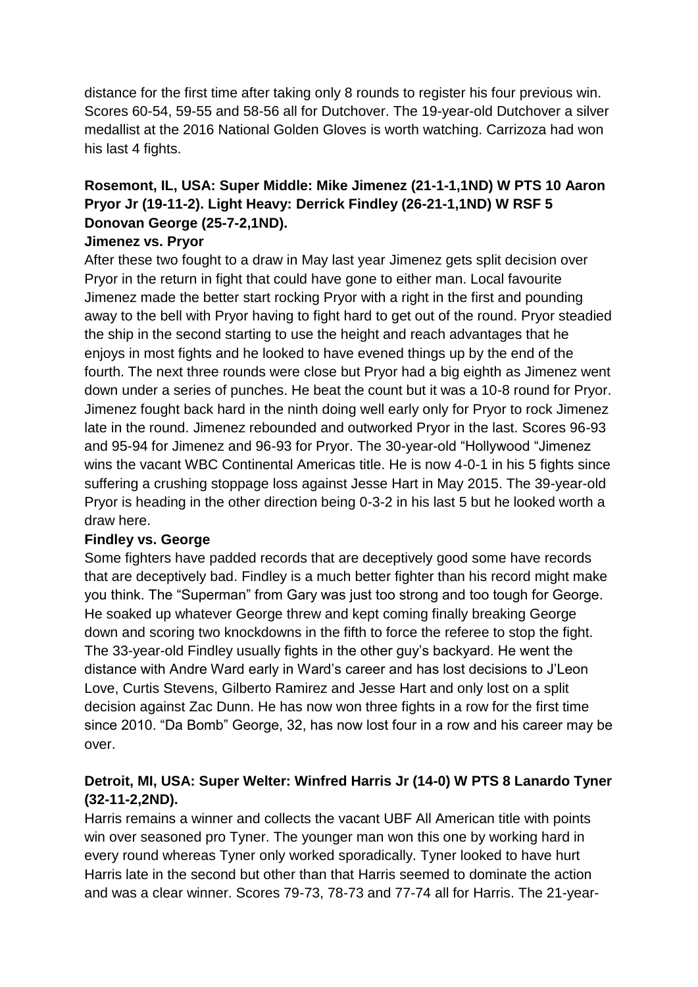distance for the first time after taking only 8 rounds to register his four previous win. Scores 60-54, 59-55 and 58-56 all for Dutchover. The 19-year-old Dutchover a silver medallist at the 2016 National Golden Gloves is worth watching. Carrizoza had won his last 4 fights.

# **Rosemont, IL, USA: Super Middle: Mike Jimenez (21-1-1,1ND) W PTS 10 Aaron Pryor Jr (19-11-2). Light Heavy: Derrick Findley (26-21-1,1ND) W RSF 5 Donovan George (25-7-2,1ND).**

## **Jimenez vs. Pryor**

After these two fought to a draw in May last year Jimenez gets split decision over Pryor in the return in fight that could have gone to either man. Local favourite Jimenez made the better start rocking Pryor with a right in the first and pounding away to the bell with Pryor having to fight hard to get out of the round. Pryor steadied the ship in the second starting to use the height and reach advantages that he enjoys in most fights and he looked to have evened things up by the end of the fourth. The next three rounds were close but Pryor had a big eighth as Jimenez went down under a series of punches. He beat the count but it was a 10-8 round for Pryor. Jimenez fought back hard in the ninth doing well early only for Pryor to rock Jimenez late in the round. Jimenez rebounded and outworked Pryor in the last. Scores 96-93 and 95-94 for Jimenez and 96-93 for Pryor. The 30-year-old "Hollywood "Jimenez wins the vacant WBC Continental Americas title. He is now 4-0-1 in his 5 fights since suffering a crushing stoppage loss against Jesse Hart in May 2015. The 39-year-old Pryor is heading in the other direction being 0-3-2 in his last 5 but he looked worth a draw here.

## **Findley vs. George**

Some fighters have padded records that are deceptively good some have records that are deceptively bad. Findley is a much better fighter than his record might make you think. The "Superman" from Gary was just too strong and too tough for George. He soaked up whatever George threw and kept coming finally breaking George down and scoring two knockdowns in the fifth to force the referee to stop the fight. The 33-year-old Findley usually fights in the other guy's backyard. He went the distance with Andre Ward early in Ward's career and has lost decisions to J'Leon Love, Curtis Stevens, Gilberto Ramirez and Jesse Hart and only lost on a split decision against Zac Dunn. He has now won three fights in a row for the first time since 2010. "Da Bomb" George, 32, has now lost four in a row and his career may be over.

# **Detroit, MI, USA: Super Welter: Winfred Harris Jr (14-0) W PTS 8 Lanardo Tyner (32-11-2,2ND).**

Harris remains a winner and collects the vacant UBF All American title with points win over seasoned pro Tyner. The younger man won this one by working hard in every round whereas Tyner only worked sporadically. Tyner looked to have hurt Harris late in the second but other than that Harris seemed to dominate the action and was a clear winner. Scores 79-73, 78-73 and 77-74 all for Harris. The 21-year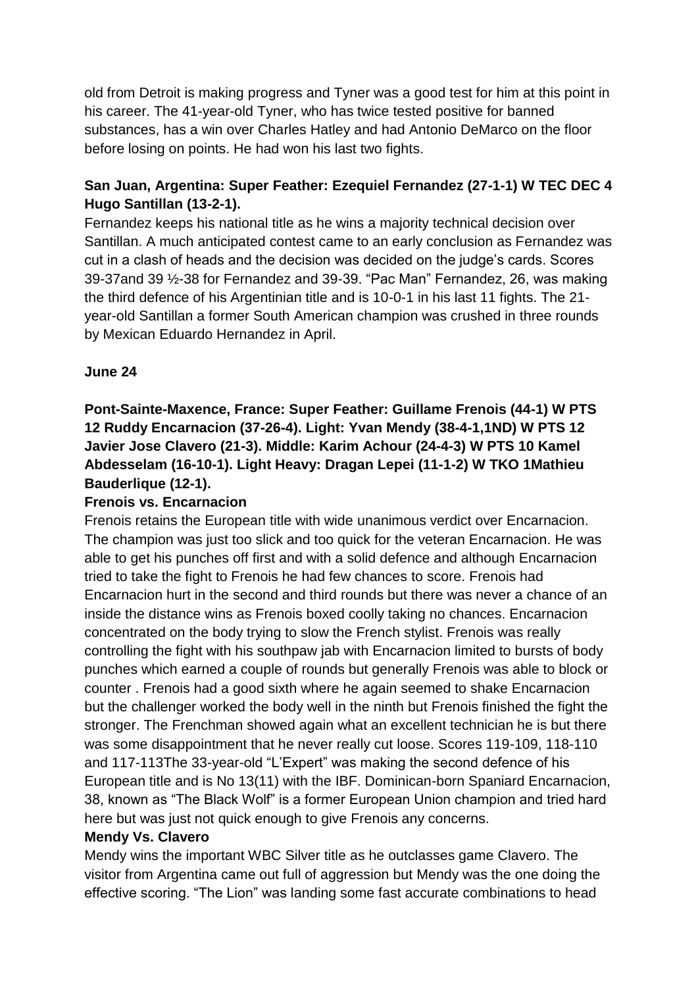old from Detroit is making progress and Tyner was a good test for him at this point in his career. The 41-year-old Tyner, who has twice tested positive for banned substances, has a win over Charles Hatley and had Antonio DeMarco on the floor before losing on points. He had won his last two fights.

# **San Juan, Argentina: Super Feather: Ezequiel Fernandez (27-1-1) W TEC DEC 4 Hugo Santillan (13-2-1).**

Fernandez keeps his national title as he wins a majority technical decision over Santillan. A much anticipated contest came to an early conclusion as Fernandez was cut in a clash of heads and the decision was decided on the judge's cards. Scores 39-37and 39 ½-38 for Fernandez and 39-39. "Pac Man" Fernandez, 26, was making the third defence of his Argentinian title and is 10-0-1 in his last 11 fights. The 21 year-old Santillan a former South American champion was crushed in three rounds by Mexican Eduardo Hernandez in April.

# **June 24**

# **Pont-Sainte-Maxence, France: Super Feather: Guillame Frenois (44-1) W PTS 12 Ruddy Encarnacion (37-26-4). Light: Yvan Mendy (38-4-1,1ND) W PTS 12 Javier Jose Clavero (21-3). Middle: Karim Achour (24-4-3) W PTS 10 Kamel Abdesselam (16-10-1). Light Heavy: Dragan Lepei (11-1-2) W TKO 1Mathieu Bauderlique (12-1).**

## **Frenois vs. Encarnacion**

Frenois retains the European title with wide unanimous verdict over Encarnacion. The champion was just too slick and too quick for the veteran Encarnacion. He was able to get his punches off first and with a solid defence and although Encarnacion tried to take the fight to Frenois he had few chances to score. Frenois had Encarnacion hurt in the second and third rounds but there was never a chance of an inside the distance wins as Frenois boxed coolly taking no chances. Encarnacion concentrated on the body trying to slow the French stylist. Frenois was really controlling the fight with his southpaw jab with Encarnacion limited to bursts of body punches which earned a couple of rounds but generally Frenois was able to block or counter . Frenois had a good sixth where he again seemed to shake Encarnacion but the challenger worked the body well in the ninth but Frenois finished the fight the stronger. The Frenchman showed again what an excellent technician he is but there was some disappointment that he never really cut loose. Scores 119-109, 118-110 and 117-113The 33-year-old "L'Expert" was making the second defence of his European title and is No 13(11) with the IBF. Dominican-born Spaniard Encarnacion, 38, known as "The Black Wolf" is a former European Union champion and tried hard here but was just not quick enough to give Frenois any concerns.

## **Mendy Vs. Clavero**

Mendy wins the important WBC Silver title as he outclasses game Clavero. The visitor from Argentina came out full of aggression but Mendy was the one doing the effective scoring. "The Lion" was landing some fast accurate combinations to head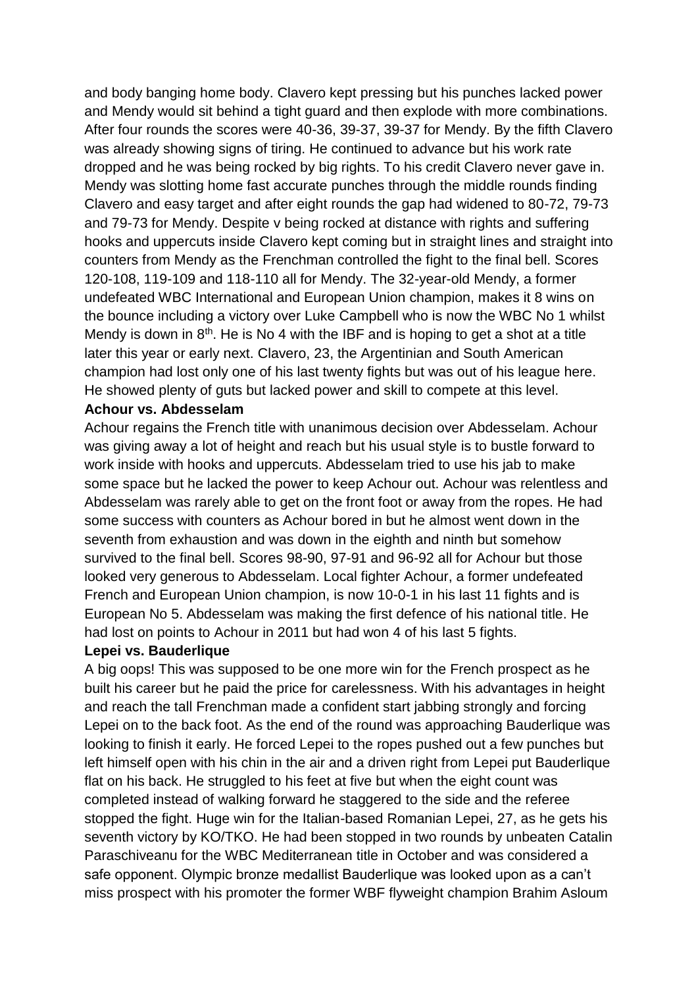and body banging home body. Clavero kept pressing but his punches lacked power and Mendy would sit behind a tight guard and then explode with more combinations. After four rounds the scores were 40-36, 39-37, 39-37 for Mendy. By the fifth Clavero was already showing signs of tiring. He continued to advance but his work rate dropped and he was being rocked by big rights. To his credit Clavero never gave in. Mendy was slotting home fast accurate punches through the middle rounds finding Clavero and easy target and after eight rounds the gap had widened to 80-72, 79-73 and 79-73 for Mendy. Despite v being rocked at distance with rights and suffering hooks and uppercuts inside Clavero kept coming but in straight lines and straight into counters from Mendy as the Frenchman controlled the fight to the final bell. Scores 120-108, 119-109 and 118-110 all for Mendy. The 32-year-old Mendy, a former undefeated WBC International and European Union champion, makes it 8 wins on the bounce including a victory over Luke Campbell who is now the WBC No 1 whilst Mendy is down in  $8<sup>th</sup>$ . He is No 4 with the IBF and is hoping to get a shot at a title later this year or early next. Clavero, 23, the Argentinian and South American champion had lost only one of his last twenty fights but was out of his league here. He showed plenty of guts but lacked power and skill to compete at this level.

#### **Achour vs. Abdesselam**

Achour regains the French title with unanimous decision over Abdesselam. Achour was giving away a lot of height and reach but his usual style is to bustle forward to work inside with hooks and uppercuts. Abdesselam tried to use his jab to make some space but he lacked the power to keep Achour out. Achour was relentless and Abdesselam was rarely able to get on the front foot or away from the ropes. He had some success with counters as Achour bored in but he almost went down in the seventh from exhaustion and was down in the eighth and ninth but somehow survived to the final bell. Scores 98-90, 97-91 and 96-92 all for Achour but those looked very generous to Abdesselam. Local fighter Achour, a former undefeated French and European Union champion, is now 10-0-1 in his last 11 fights and is European No 5. Abdesselam was making the first defence of his national title. He had lost on points to Achour in 2011 but had won 4 of his last 5 fights.

#### **Lepei vs. Bauderlique**

A big oops! This was supposed to be one more win for the French prospect as he built his career but he paid the price for carelessness. With his advantages in height and reach the tall Frenchman made a confident start jabbing strongly and forcing Lepei on to the back foot. As the end of the round was approaching Bauderlique was looking to finish it early. He forced Lepei to the ropes pushed out a few punches but left himself open with his chin in the air and a driven right from Lepei put Bauderlique flat on his back. He struggled to his feet at five but when the eight count was completed instead of walking forward he staggered to the side and the referee stopped the fight. Huge win for the Italian-based Romanian Lepei, 27, as he gets his seventh victory by KO/TKO. He had been stopped in two rounds by unbeaten Catalin Paraschiveanu for the WBC Mediterranean title in October and was considered a safe opponent. Olympic bronze medallist Bauderlique was looked upon as a can't miss prospect with his promoter the former WBF flyweight champion Brahim Asloum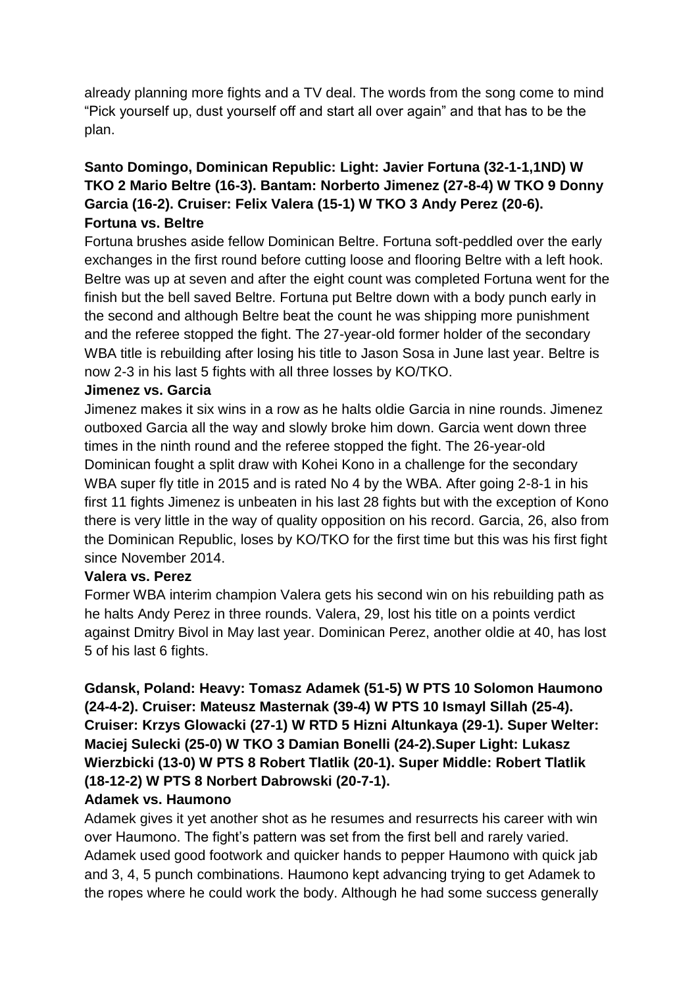already planning more fights and a TV deal. The words from the song come to mind "Pick yourself up, dust yourself off and start all over again" and that has to be the plan.

# **Santo Domingo, Dominican Republic: Light: Javier Fortuna (32-1-1,1ND) W TKO 2 Mario Beltre (16-3). Bantam: Norberto Jimenez (27-8-4) W TKO 9 Donny Garcia (16-2). Cruiser: Felix Valera (15-1) W TKO 3 Andy Perez (20-6). Fortuna vs. Beltre**

Fortuna brushes aside fellow Dominican Beltre. Fortuna soft-peddled over the early exchanges in the first round before cutting loose and flooring Beltre with a left hook. Beltre was up at seven and after the eight count was completed Fortuna went for the finish but the bell saved Beltre. Fortuna put Beltre down with a body punch early in the second and although Beltre beat the count he was shipping more punishment and the referee stopped the fight. The 27-year-old former holder of the secondary WBA title is rebuilding after losing his title to Jason Sosa in June last year. Beltre is now 2-3 in his last 5 fights with all three losses by KO/TKO.

#### **Jimenez vs. Garcia**

Jimenez makes it six wins in a row as he halts oldie Garcia in nine rounds. Jimenez outboxed Garcia all the way and slowly broke him down. Garcia went down three times in the ninth round and the referee stopped the fight. The 26-year-old Dominican fought a split draw with Kohei Kono in a challenge for the secondary WBA super fly title in 2015 and is rated No 4 by the WBA. After going 2-8-1 in his first 11 fights Jimenez is unbeaten in his last 28 fights but with the exception of Kono there is very little in the way of quality opposition on his record. Garcia, 26, also from the Dominican Republic, loses by KO/TKO for the first time but this was his first fight since November 2014.

## **Valera vs. Perez**

Former WBA interim champion Valera gets his second win on his rebuilding path as he halts Andy Perez in three rounds. Valera, 29, lost his title on a points verdict against Dmitry Bivol in May last year. Dominican Perez, another oldie at 40, has lost 5 of his last 6 fights.

**Gdansk, Poland: Heavy: Tomasz Adamek (51-5) W PTS 10 Solomon Haumono (24-4-2). Cruiser: Mateusz Masternak (39-4) W PTS 10 Ismayl Sillah (25-4). Cruiser: Krzys Glowacki (27-1) W RTD 5 Hizni Altunkaya (29-1). Super Welter: Maciej Sulecki (25-0) W TKO 3 Damian Bonelli (24-2).Super Light: Lukasz Wierzbicki (13-0) W PTS 8 Robert Tlatlik (20-1). Super Middle: Robert Tlatlik (18-12-2) W PTS 8 Norbert Dabrowski (20-7-1).**

#### **Adamek vs. Haumono**

Adamek gives it yet another shot as he resumes and resurrects his career with win over Haumono. The fight's pattern was set from the first bell and rarely varied. Adamek used good footwork and quicker hands to pepper Haumono with quick jab and 3, 4, 5 punch combinations. Haumono kept advancing trying to get Adamek to the ropes where he could work the body. Although he had some success generally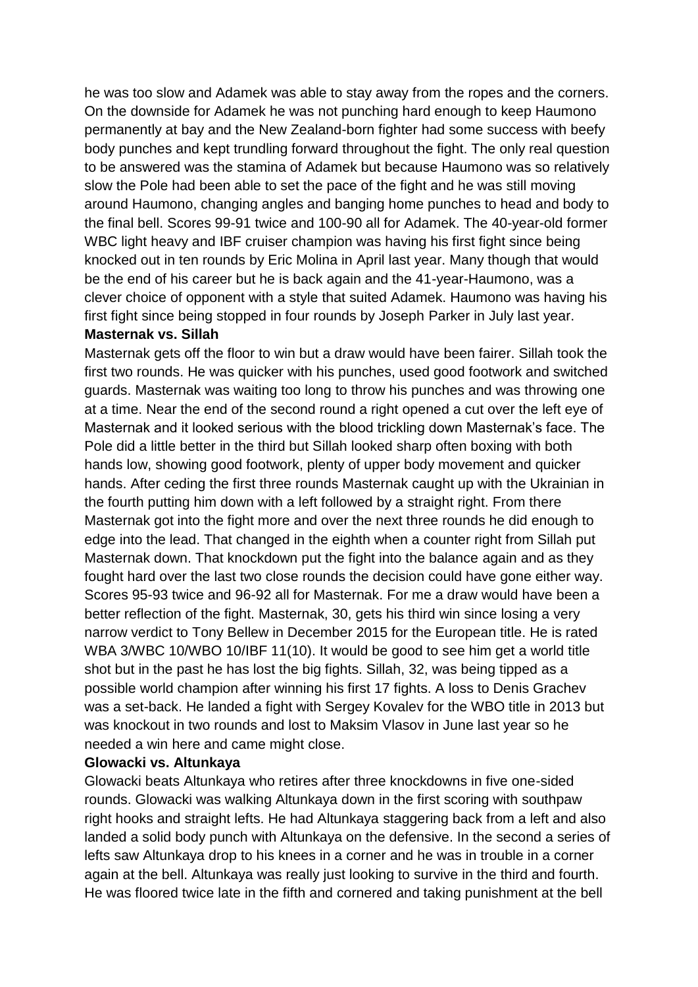he was too slow and Adamek was able to stay away from the ropes and the corners. On the downside for Adamek he was not punching hard enough to keep Haumono permanently at bay and the New Zealand-born fighter had some success with beefy body punches and kept trundling forward throughout the fight. The only real question to be answered was the stamina of Adamek but because Haumono was so relatively slow the Pole had been able to set the pace of the fight and he was still moving around Haumono, changing angles and banging home punches to head and body to the final bell. Scores 99-91 twice and 100-90 all for Adamek. The 40-year-old former WBC light heavy and IBF cruiser champion was having his first fight since being knocked out in ten rounds by Eric Molina in April last year. Many though that would be the end of his career but he is back again and the 41-year-Haumono, was a clever choice of opponent with a style that suited Adamek. Haumono was having his first fight since being stopped in four rounds by Joseph Parker in July last year.

#### **Masternak vs. Sillah**

Masternak gets off the floor to win but a draw would have been fairer. Sillah took the first two rounds. He was quicker with his punches, used good footwork and switched guards. Masternak was waiting too long to throw his punches and was throwing one at a time. Near the end of the second round a right opened a cut over the left eye of Masternak and it looked serious with the blood trickling down Masternak's face. The Pole did a little better in the third but Sillah looked sharp often boxing with both hands low, showing good footwork, plenty of upper body movement and quicker hands. After ceding the first three rounds Masternak caught up with the Ukrainian in the fourth putting him down with a left followed by a straight right. From there Masternak got into the fight more and over the next three rounds he did enough to edge into the lead. That changed in the eighth when a counter right from Sillah put Masternak down. That knockdown put the fight into the balance again and as they fought hard over the last two close rounds the decision could have gone either way. Scores 95-93 twice and 96-92 all for Masternak. For me a draw would have been a better reflection of the fight. Masternak, 30, gets his third win since losing a very narrow verdict to Tony Bellew in December 2015 for the European title. He is rated WBA 3/WBC 10/WBO 10/IBF 11(10). It would be good to see him get a world title shot but in the past he has lost the big fights. Sillah, 32, was being tipped as a possible world champion after winning his first 17 fights. A loss to Denis Grachev was a set-back. He landed a fight with Sergey Kovalev for the WBO title in 2013 but was knockout in two rounds and lost to Maksim Vlasov in June last year so he needed a win here and came might close.

#### **Glowacki vs. Altunkaya**

Glowacki beats Altunkaya who retires after three knockdowns in five one-sided rounds. Glowacki was walking Altunkaya down in the first scoring with southpaw right hooks and straight lefts. He had Altunkaya staggering back from a left and also landed a solid body punch with Altunkaya on the defensive. In the second a series of lefts saw Altunkaya drop to his knees in a corner and he was in trouble in a corner again at the bell. Altunkaya was really just looking to survive in the third and fourth. He was floored twice late in the fifth and cornered and taking punishment at the bell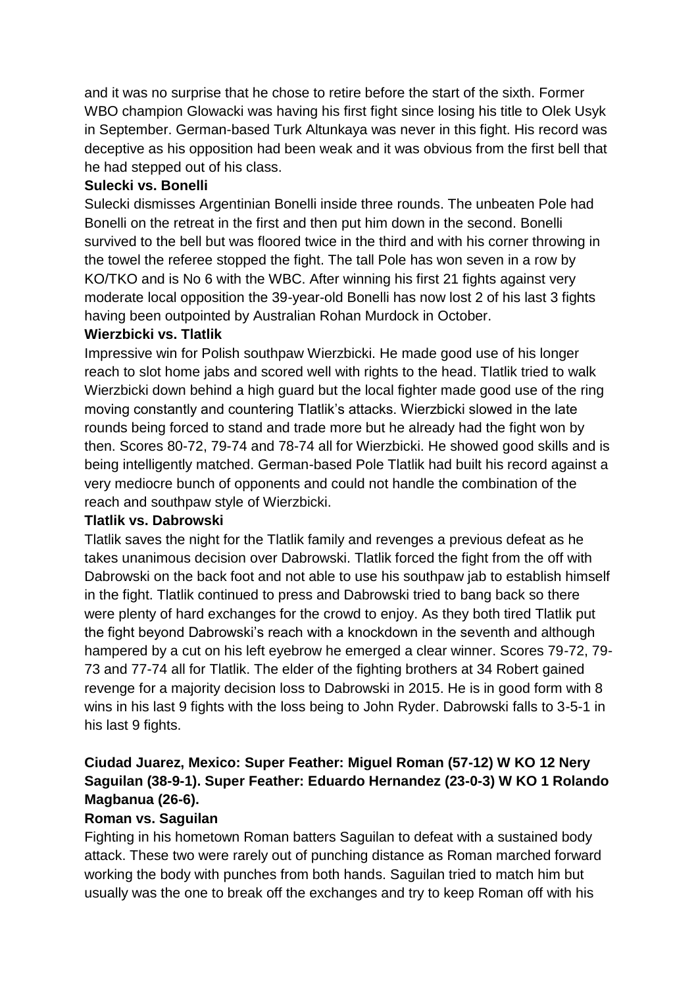and it was no surprise that he chose to retire before the start of the sixth. Former WBO champion Glowacki was having his first fight since losing his title to Olek Usyk in September. German-based Turk Altunkaya was never in this fight. His record was deceptive as his opposition had been weak and it was obvious from the first bell that he had stepped out of his class.

## **Sulecki vs. Bonelli**

Sulecki dismisses Argentinian Bonelli inside three rounds. The unbeaten Pole had Bonelli on the retreat in the first and then put him down in the second. Bonelli survived to the bell but was floored twice in the third and with his corner throwing in the towel the referee stopped the fight. The tall Pole has won seven in a row by KO/TKO and is No 6 with the WBC. After winning his first 21 fights against very moderate local opposition the 39-year-old Bonelli has now lost 2 of his last 3 fights having been outpointed by Australian Rohan Murdock in October.

# **Wierzbicki vs. Tlatlik**

Impressive win for Polish southpaw Wierzbicki. He made good use of his longer reach to slot home jabs and scored well with rights to the head. Tlatlik tried to walk Wierzbicki down behind a high guard but the local fighter made good use of the ring moving constantly and countering Tlatlik's attacks. Wierzbicki slowed in the late rounds being forced to stand and trade more but he already had the fight won by then. Scores 80-72, 79-74 and 78-74 all for Wierzbicki. He showed good skills and is being intelligently matched. German-based Pole Tlatlik had built his record against a very mediocre bunch of opponents and could not handle the combination of the reach and southpaw style of Wierzbicki.

## **Tlatlik vs. Dabrowski**

Tlatlik saves the night for the Tlatlik family and revenges a previous defeat as he takes unanimous decision over Dabrowski. Tlatlik forced the fight from the off with Dabrowski on the back foot and not able to use his southpaw jab to establish himself in the fight. Tlatlik continued to press and Dabrowski tried to bang back so there were plenty of hard exchanges for the crowd to enjoy. As they both tired Tlatlik put the fight beyond Dabrowski's reach with a knockdown in the seventh and although hampered by a cut on his left eyebrow he emerged a clear winner. Scores 79-72, 79- 73 and 77-74 all for Tlatlik. The elder of the fighting brothers at 34 Robert gained revenge for a majority decision loss to Dabrowski in 2015. He is in good form with 8 wins in his last 9 fights with the loss being to John Ryder. Dabrowski falls to 3-5-1 in his last 9 fights.

# **Ciudad Juarez, Mexico: Super Feather: Miguel Roman (57-12) W KO 12 Nery Saguilan (38-9-1). Super Feather: Eduardo Hernandez (23-0-3) W KO 1 Rolando Magbanua (26-6).**

## **Roman vs. Saguilan**

Fighting in his hometown Roman batters Saguilan to defeat with a sustained body attack. These two were rarely out of punching distance as Roman marched forward working the body with punches from both hands. Saguilan tried to match him but usually was the one to break off the exchanges and try to keep Roman off with his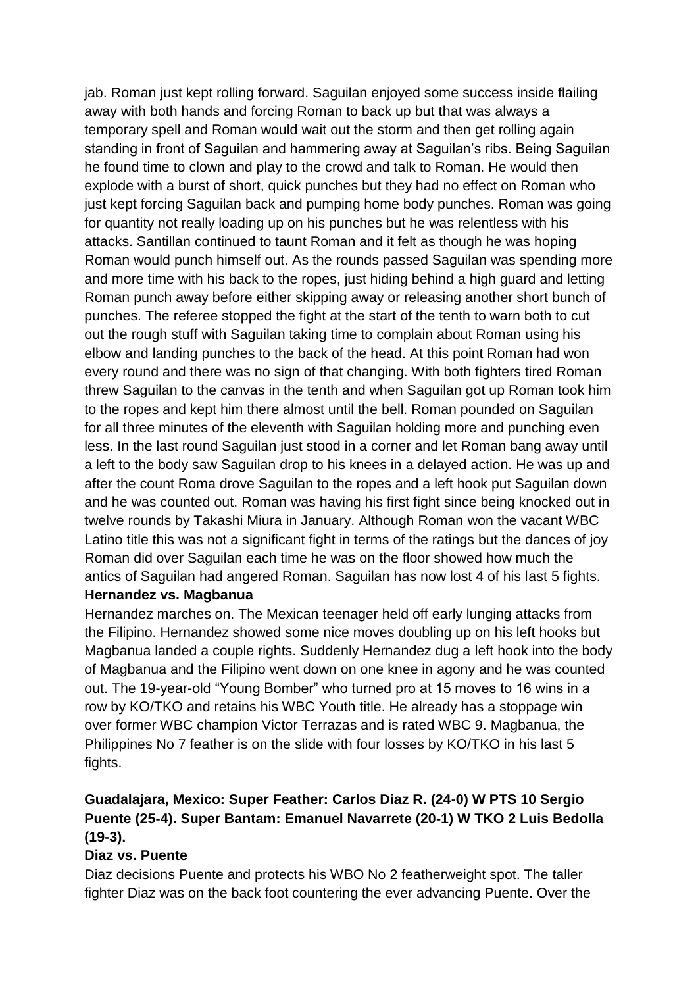jab. Roman just kept rolling forward. Saguilan enjoyed some success inside flailing away with both hands and forcing Roman to back up but that was always a temporary spell and Roman would wait out the storm and then get rolling again standing in front of Saguilan and hammering away at Saguilan's ribs. Being Saguilan he found time to clown and play to the crowd and talk to Roman. He would then explode with a burst of short, quick punches but they had no effect on Roman who just kept forcing Saguilan back and pumping home body punches. Roman was going for quantity not really loading up on his punches but he was relentless with his attacks. Santillan continued to taunt Roman and it felt as though he was hoping Roman would punch himself out. As the rounds passed Saguilan was spending more and more time with his back to the ropes, just hiding behind a high guard and letting Roman punch away before either skipping away or releasing another short bunch of punches. The referee stopped the fight at the start of the tenth to warn both to cut out the rough stuff with Saguilan taking time to complain about Roman using his elbow and landing punches to the back of the head. At this point Roman had won every round and there was no sign of that changing. With both fighters tired Roman threw Saguilan to the canvas in the tenth and when Saguilan got up Roman took him to the ropes and kept him there almost until the bell. Roman pounded on Saguilan for all three minutes of the eleventh with Saguilan holding more and punching even less. In the last round Saguilan just stood in a corner and let Roman bang away until a left to the body saw Saguilan drop to his knees in a delayed action. He was up and after the count Roma drove Saguilan to the ropes and a left hook put Saguilan down and he was counted out. Roman was having his first fight since being knocked out in twelve rounds by Takashi Miura in January. Although Roman won the vacant WBC Latino title this was not a significant fight in terms of the ratings but the dances of joy Roman did over Saguilan each time he was on the floor showed how much the antics of Saguilan had angered Roman. Saguilan has now lost 4 of his last 5 fights.

## **Hernandez vs. Magbanua**

Hernandez marches on. The Mexican teenager held off early lunging attacks from the Filipino. Hernandez showed some nice moves doubling up on his left hooks but Magbanua landed a couple rights. Suddenly Hernandez dug a left hook into the body of Magbanua and the Filipino went down on one knee in agony and he was counted out. The 19-year-old "Young Bomber" who turned pro at 15 moves to 16 wins in a row by KO/TKO and retains his WBC Youth title. He already has a stoppage win over former WBC champion Victor Terrazas and is rated WBC 9. Magbanua, the Philippines No 7 feather is on the slide with four losses by KO/TKO in his last 5 fights.

# **Guadalajara, Mexico: Super Feather: Carlos Diaz R. (24-0) W PTS 10 Sergio Puente (25-4). Super Bantam: Emanuel Navarrete (20-1) W TKO 2 Luis Bedolla (19-3).**

## **Diaz vs. Puente**

Diaz decisions Puente and protects his WBO No 2 featherweight spot. The taller fighter Diaz was on the back foot countering the ever advancing Puente. Over the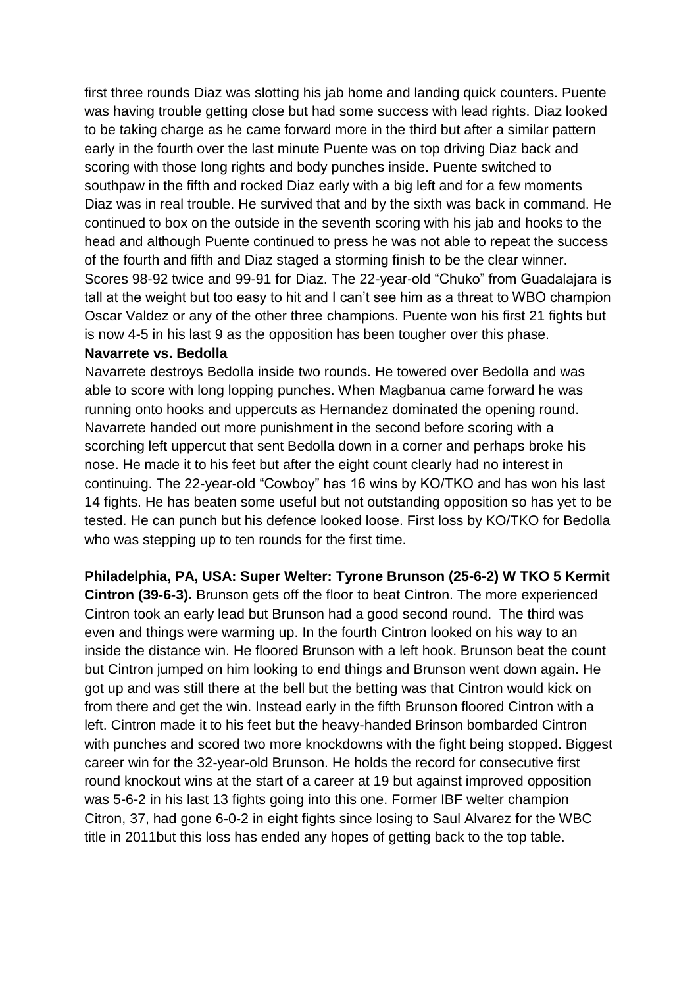first three rounds Diaz was slotting his jab home and landing quick counters. Puente was having trouble getting close but had some success with lead rights. Diaz looked to be taking charge as he came forward more in the third but after a similar pattern early in the fourth over the last minute Puente was on top driving Diaz back and scoring with those long rights and body punches inside. Puente switched to southpaw in the fifth and rocked Diaz early with a big left and for a few moments Diaz was in real trouble. He survived that and by the sixth was back in command. He continued to box on the outside in the seventh scoring with his jab and hooks to the head and although Puente continued to press he was not able to repeat the success of the fourth and fifth and Diaz staged a storming finish to be the clear winner. Scores 98-92 twice and 99-91 for Diaz. The 22-year-old "Chuko" from Guadalajara is tall at the weight but too easy to hit and I can't see him as a threat to WBO champion Oscar Valdez or any of the other three champions. Puente won his first 21 fights but is now 4-5 in his last 9 as the opposition has been tougher over this phase.

#### **Navarrete vs. Bedolla**

Navarrete destroys Bedolla inside two rounds. He towered over Bedolla and was able to score with long lopping punches. When Magbanua came forward he was running onto hooks and uppercuts as Hernandez dominated the opening round. Navarrete handed out more punishment in the second before scoring with a scorching left uppercut that sent Bedolla down in a corner and perhaps broke his nose. He made it to his feet but after the eight count clearly had no interest in continuing. The 22-year-old "Cowboy" has 16 wins by KO/TKO and has won his last 14 fights. He has beaten some useful but not outstanding opposition so has yet to be tested. He can punch but his defence looked loose. First loss by KO/TKO for Bedolla who was stepping up to ten rounds for the first time.

**Philadelphia, PA, USA: Super Welter: Tyrone Brunson (25-6-2) W TKO 5 Kermit Cintron (39-6-3).** Brunson gets off the floor to beat Cintron. The more experienced Cintron took an early lead but Brunson had a good second round. The third was even and things were warming up. In the fourth Cintron looked on his way to an inside the distance win. He floored Brunson with a left hook. Brunson beat the count but Cintron jumped on him looking to end things and Brunson went down again. He got up and was still there at the bell but the betting was that Cintron would kick on from there and get the win. Instead early in the fifth Brunson floored Cintron with a left. Cintron made it to his feet but the heavy-handed Brinson bombarded Cintron with punches and scored two more knockdowns with the fight being stopped. Biggest career win for the 32-year-old Brunson. He holds the record for consecutive first round knockout wins at the start of a career at 19 but against improved opposition was 5-6-2 in his last 13 fights going into this one. Former IBF welter champion Citron, 37, had gone 6-0-2 in eight fights since losing to Saul Alvarez for the WBC title in 2011but this loss has ended any hopes of getting back to the top table.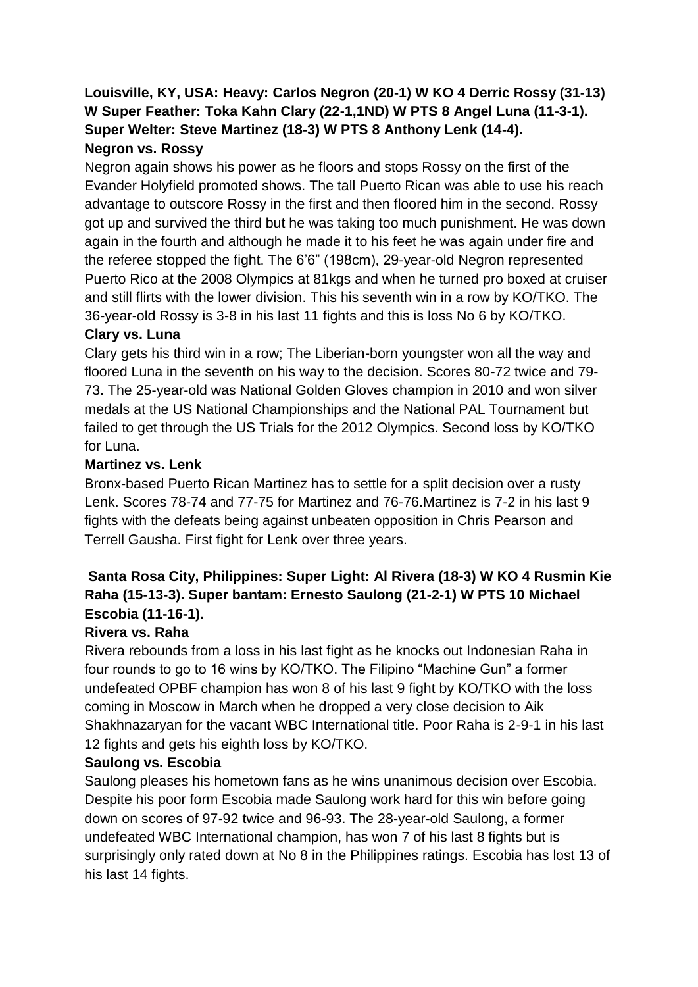**Louisville, KY, USA: Heavy: Carlos Negron (20-1) W KO 4 Derric Rossy (31-13) W Super Feather: Toka Kahn Clary (22-1,1ND) W PTS 8 Angel Luna (11-3-1). Super Welter: Steve Martinez (18-3) W PTS 8 Anthony Lenk (14-4). Negron vs. Rossy** 

Negron again shows his power as he floors and stops Rossy on the first of the Evander Holyfield promoted shows. The tall Puerto Rican was able to use his reach advantage to outscore Rossy in the first and then floored him in the second. Rossy got up and survived the third but he was taking too much punishment. He was down again in the fourth and although he made it to his feet he was again under fire and the referee stopped the fight. The 6'6" (198cm), 29-year-old Negron represented Puerto Rico at the 2008 Olympics at 81kgs and when he turned pro boxed at cruiser and still flirts with the lower division. This his seventh win in a row by KO/TKO. The 36-year-old Rossy is 3-8 in his last 11 fights and this is loss No 6 by KO/TKO.

#### **Clary vs. Luna**

Clary gets his third win in a row; The Liberian-born youngster won all the way and floored Luna in the seventh on his way to the decision. Scores 80-72 twice and 79- 73. The 25-year-old was National Golden Gloves champion in 2010 and won silver medals at the US National Championships and the National PAL Tournament but failed to get through the US Trials for the 2012 Olympics. Second loss by KO/TKO for Luna.

#### **Martinez vs. Lenk**

Bronx-based Puerto Rican Martinez has to settle for a split decision over a rusty Lenk. Scores 78-74 and 77-75 for Martinez and 76-76.Martinez is 7-2 in his last 9 fights with the defeats being against unbeaten opposition in Chris Pearson and Terrell Gausha. First fight for Lenk over three years.

# **Santa Rosa City, Philippines: Super Light: Al Rivera (18-3) W KO 4 Rusmin Kie Raha (15-13-3). Super bantam: Ernesto Saulong (21-2-1) W PTS 10 Michael Escobia (11-16-1).**

## **Rivera vs. Raha**

Rivera rebounds from a loss in his last fight as he knocks out Indonesian Raha in four rounds to go to 16 wins by KO/TKO. The Filipino "Machine Gun" a former undefeated OPBF champion has won 8 of his last 9 fight by KO/TKO with the loss coming in Moscow in March when he dropped a very close decision to Aik Shakhnazaryan for the vacant WBC International title. Poor Raha is 2-9-1 in his last 12 fights and gets his eighth loss by KO/TKO.

## **Saulong vs. Escobia**

Saulong pleases his hometown fans as he wins unanimous decision over Escobia. Despite his poor form Escobia made Saulong work hard for this win before going down on scores of 97-92 twice and 96-93. The 28-year-old Saulong, a former undefeated WBC International champion, has won 7 of his last 8 fights but is surprisingly only rated down at No 8 in the Philippines ratings. Escobia has lost 13 of his last 14 fights.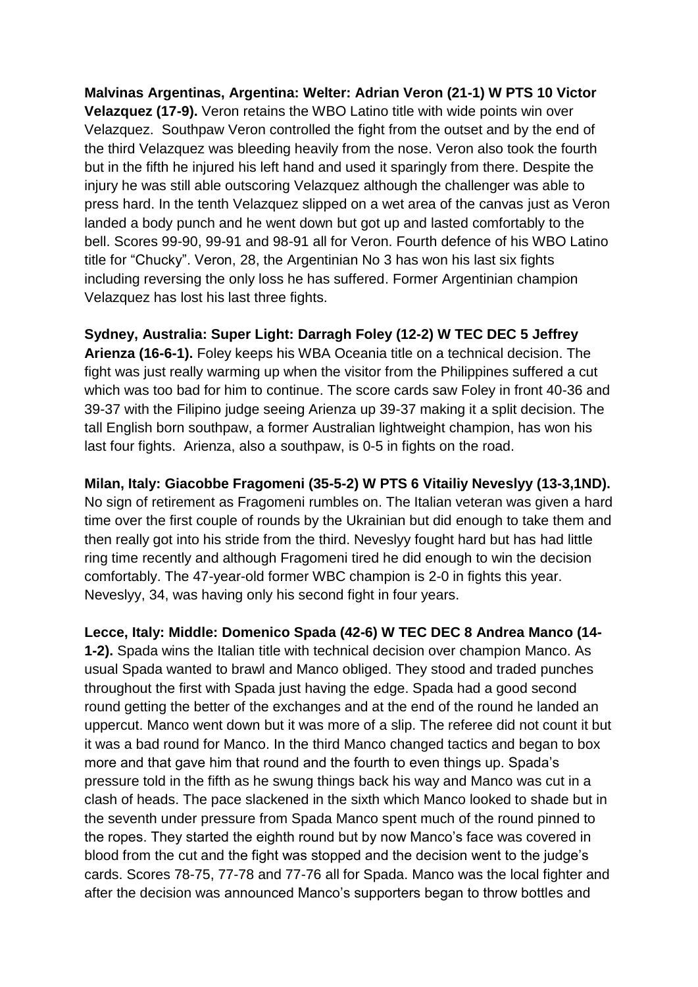**Malvinas Argentinas, Argentina: Welter: Adrian Veron (21-1) W PTS 10 Victor Velazquez (17-9).** Veron retains the WBO Latino title with wide points win over Velazquez. Southpaw Veron controlled the fight from the outset and by the end of the third Velazquez was bleeding heavily from the nose. Veron also took the fourth but in the fifth he injured his left hand and used it sparingly from there. Despite the injury he was still able outscoring Velazquez although the challenger was able to press hard. In the tenth Velazquez slipped on a wet area of the canvas just as Veron landed a body punch and he went down but got up and lasted comfortably to the bell. Scores 99-90, 99-91 and 98-91 all for Veron. Fourth defence of his WBO Latino title for "Chucky". Veron, 28, the Argentinian No 3 has won his last six fights including reversing the only loss he has suffered. Former Argentinian champion Velazquez has lost his last three fights.

**Sydney, Australia: Super Light: Darragh Foley (12-2) W TEC DEC 5 Jeffrey Arienza (16-6-1).** Foley keeps his WBA Oceania title on a technical decision. The fight was just really warming up when the visitor from the Philippines suffered a cut which was too bad for him to continue. The score cards saw Foley in front 40-36 and 39-37 with the Filipino judge seeing Arienza up 39-37 making it a split decision. The tall English born southpaw, a former Australian lightweight champion, has won his last four fights. Arienza, also a southpaw, is 0-5 in fights on the road.

**Milan, Italy: Giacobbe Fragomeni (35-5-2) W PTS 6 Vitailiy Neveslyy (13-3,1ND).** No sign of retirement as Fragomeni rumbles on. The Italian veteran was given a hard time over the first couple of rounds by the Ukrainian but did enough to take them and then really got into his stride from the third. Neveslyy fought hard but has had little ring time recently and although Fragomeni tired he did enough to win the decision comfortably. The 47-year-old former WBC champion is 2-0 in fights this year. Neveslyy, 34, was having only his second fight in four years.

**Lecce, Italy: Middle: Domenico Spada (42-6) W TEC DEC 8 Andrea Manco (14- 1-2).** Spada wins the Italian title with technical decision over champion Manco. As usual Spada wanted to brawl and Manco obliged. They stood and traded punches throughout the first with Spada just having the edge. Spada had a good second round getting the better of the exchanges and at the end of the round he landed an uppercut. Manco went down but it was more of a slip. The referee did not count it but it was a bad round for Manco. In the third Manco changed tactics and began to box more and that gave him that round and the fourth to even things up. Spada's pressure told in the fifth as he swung things back his way and Manco was cut in a clash of heads. The pace slackened in the sixth which Manco looked to shade but in the seventh under pressure from Spada Manco spent much of the round pinned to the ropes. They started the eighth round but by now Manco's face was covered in blood from the cut and the fight was stopped and the decision went to the judge's cards. Scores 78-75, 77-78 and 77-76 all for Spada. Manco was the local fighter and after the decision was announced Manco's supporters began to throw bottles and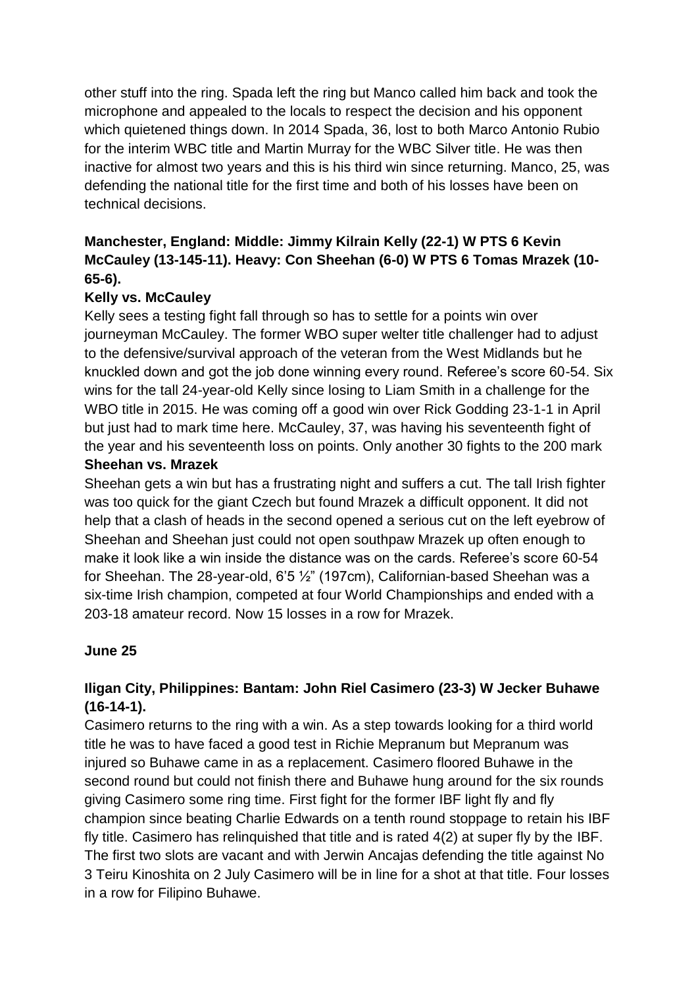other stuff into the ring. Spada left the ring but Manco called him back and took the microphone and appealed to the locals to respect the decision and his opponent which quietened things down. In 2014 Spada, 36, lost to both Marco Antonio Rubio for the interim WBC title and Martin Murray for the WBC Silver title. He was then inactive for almost two years and this is his third win since returning. Manco, 25, was defending the national title for the first time and both of his losses have been on technical decisions.

# **Manchester, England: Middle: Jimmy Kilrain Kelly (22-1) W PTS 6 Kevin McCauley (13-145-11). Heavy: Con Sheehan (6-0) W PTS 6 Tomas Mrazek (10- 65-6).**

# **Kelly vs. McCauley**

Kelly sees a testing fight fall through so has to settle for a points win over journeyman McCauley. The former WBO super welter title challenger had to adjust to the defensive/survival approach of the veteran from the West Midlands but he knuckled down and got the job done winning every round. Referee's score 60-54. Six wins for the tall 24-year-old Kelly since losing to Liam Smith in a challenge for the WBO title in 2015. He was coming off a good win over Rick Godding 23-1-1 in April but just had to mark time here. McCauley, 37, was having his seventeenth fight of the year and his seventeenth loss on points. Only another 30 fights to the 200 mark

## **Sheehan vs. Mrazek**

Sheehan gets a win but has a frustrating night and suffers a cut. The tall Irish fighter was too quick for the giant Czech but found Mrazek a difficult opponent. It did not help that a clash of heads in the second opened a serious cut on the left eyebrow of Sheehan and Sheehan just could not open southpaw Mrazek up often enough to make it look like a win inside the distance was on the cards. Referee's score 60-54 for Sheehan. The 28-year-old, 6'5 ½" (197cm), Californian-based Sheehan was a six-time Irish champion, competed at four World Championships and ended with a 203-18 amateur record. Now 15 losses in a row for Mrazek.

## **June 25**

# **Iligan City, Philippines: Bantam: John Riel Casimero (23-3) W Jecker Buhawe (16-14-1).**

Casimero returns to the ring with a win. As a step towards looking for a third world title he was to have faced a good test in Richie Mepranum but Mepranum was injured so Buhawe came in as a replacement. Casimero floored Buhawe in the second round but could not finish there and Buhawe hung around for the six rounds giving Casimero some ring time. First fight for the former IBF light fly and fly champion since beating Charlie Edwards on a tenth round stoppage to retain his IBF fly title. Casimero has relinquished that title and is rated 4(2) at super fly by the IBF. The first two slots are vacant and with Jerwin Ancajas defending the title against No 3 Teiru Kinoshita on 2 July Casimero will be in line for a shot at that title. Four losses in a row for Filipino Buhawe.